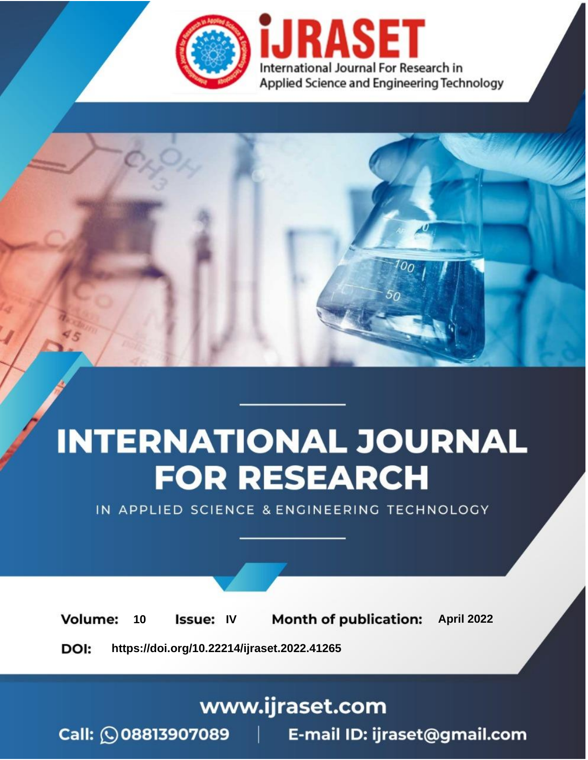

# **INTERNATIONAL JOURNAL FOR RESEARCH**

IN APPLIED SCIENCE & ENGINEERING TECHNOLOGY

10 **Issue: IV Month of publication:** April 2022 **Volume:** 

**https://doi.org/10.22214/ijraset.2022.41265**DOI:

www.ijraset.com

Call: 008813907089 | E-mail ID: ijraset@gmail.com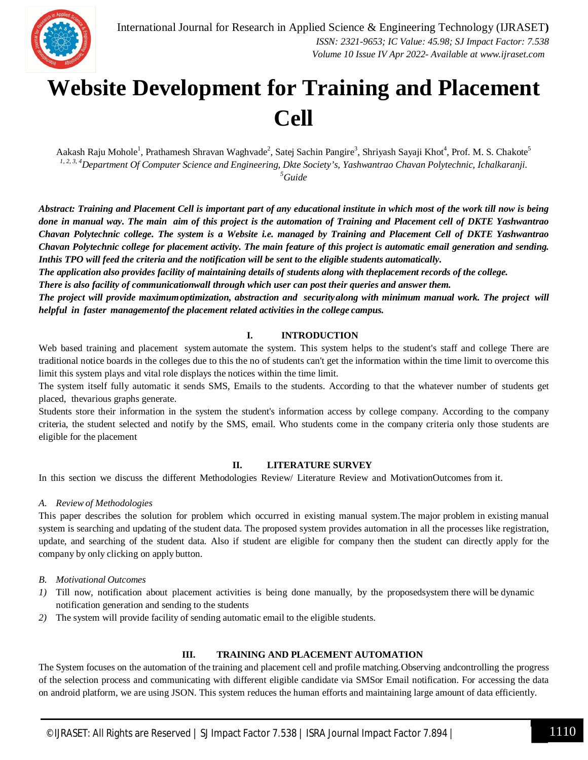

### **Website Development for Training and Placement Cell**

Aakash Raju Mohole<sup>1</sup>, Prathamesh Shravan Waghvade<sup>2</sup>, Satej Sachin Pangire<sup>3</sup>, Shriyash Sayaji Khot<sup>4</sup>, Prof. M. S. Chakote<sup>5</sup> *1, 2, 3, 4Department Of Computer Science and Engineering, Dkte Society's, Yashwantrao Chavan Polytechnic, Ichalkaranji. <sup>5</sup>Guide*

*Abstract: Training and Placement Cell is important part of any educational institute in which most of the work till now is being done in manual way. The main aim of this project is the automation of Training and Placement cell of DKTE Yashwantrao* Chavan Polytechnic college. The system is a Website i.e. managed by Training and Placement Cell of DKTE Yashwantrao *Chavan Polytechnic college for placement activity. The main feature of this project is automatic email generation and sending.*  Inthis TPO will feed the criteria and the notification will be sent to the eligible students automatically.

*The application also provides facility of maintaining details of students along with theplacement records of the college.*

*There is also facility of communicationwall through which user can post their queries and answer them.*

*The project will provide maximumoptimization, abstraction and securityalong with minimum manual work. The project will helpful in faster managementof the placement related activities in the college campus.*

#### **I. INTRODUCTION**

Web based training and placement system automate the system. This system helps to the student's staff and college There are traditional notice boards in the colleges due to this the no of students can't get the information within the time limit to overcome this limit this system plays and vital role displays the notices within the time limit.

The system itself fully automatic it sends SMS, Emails to the students. According to that the whatever number of students get placed, thevarious graphs generate.

Students store their information in the system the student's information access by college company. According to the company criteria, the student selected and notify by the SMS, email. Who students come in the company criteria only those students are eligible for the placement

#### **II. LITERATURE SURVEY**

In this section we discuss the different Methodologies Review/ Literature Review and MotivationOutcomes from it.

#### *A. Review of Methodologies*

This paper describes the solution for problem which occurred in existing manual system.The major problem in existing manual system is searching and updating of the student data. The proposed system provides automation in all the processes like registration, update, and searching of the student data. Also if student are eligible for company then the student can directly apply for the company by only clicking on apply button.

*B. Motivational Outcomes*

- *1)* Till now, notification about placement activities is being done manually, by the proposedsystem there will be dynamic notification generation and sending to the students
- *2)* The system will provide facility of sending automatic email to the eligible students.

#### **III. TRAINING AND PLACEMENT AUTOMATION**

The System focuses on the automation of the training and placement cell and profile matching.Observing andcontrolling the progress of the selection process and communicating with different eligible candidate via SMSor Email notification. For accessing the data on android platform, we are using JSON. This system reduces the human efforts and maintaining large amount of data efficiently.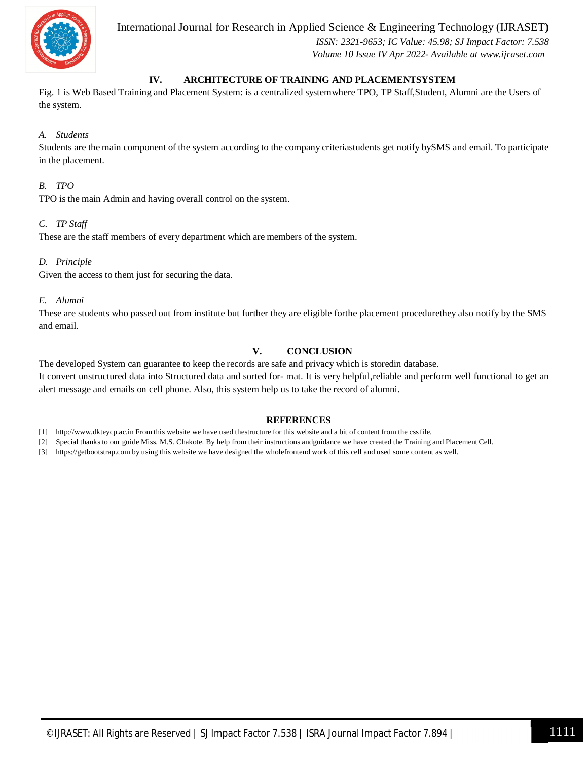

International Journal for Research in Applied Science & Engineering Technology (IJRASET**)**

 *ISSN: 2321-9653; IC Value: 45.98; SJ Impact Factor: 7.538 Volume 10 Issue IV Apr 2022- Available at www.ijraset.com*

#### **IV. ARCHITECTURE OF TRAINING AND PLACEMENTSYSTEM**

Fig. 1 is Web Based Training and Placement System: is a centralized systemwhere TPO, TP Staff,Student, Alumni are the Users of the system.

#### *A. Students*

Students are the main component of the system according to the company criteriastudents get notify bySMS and email. To participate in the placement.

#### *B. TPO*

TPO is the main Admin and having overall control on the system.

#### *C. TP Staff*

These are the staff members of every department which are members of the system.

#### *D. Principle*

Given the access to them just for securing the data.

#### *E. Alumni*

These are students who passed out from institute but further they are eligible forthe placement procedurethey also notify by the SMS and email.

#### **V. CONCLUSION**

The developed System can guarantee to keep the records are safe and privacy which is storedin database. It convert unstructured data into Structured data and sorted for- mat. It is very helpful,reliable and perform well functional to get an alert message and emails on cell phone. Also, this system help us to take the record of alumni.

#### **REFERENCES**

[1] http://www.dkteycp.ac.in From this website we have used thestructure for this website and a bit of content from the cssfile.

[2] Special thanks to our guide Miss. M.S. Chakote. By help from their instructions andguidance we have created the Training and Placement Cell.

[3] https://getbootstrap.com by using this website we have designed the wholefrontend work of this cell and used some content as well.